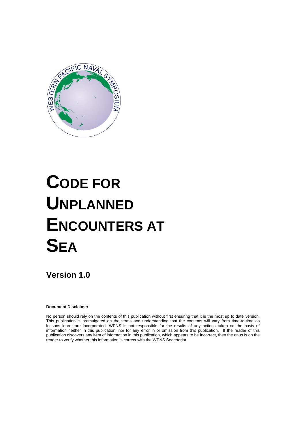

# **CODE FOR UNPLANNED ENCOUNTERS AT SEA**

**Version 1.0**

**Document Disclaimer**

No person should rely on the contents of this publication without first ensuring that it is the most up to date version. This publication is promulgated on the terms and understanding that the contents will vary from time-to-time as lessons learnt are incorporated. WPNS is not responsible for the results of any actions taken on the basis of information neither in this publication, nor for any error in or omission from this publication. If the reader of this publication discovers any item of information in this publication, which appears to be incorrect, then the onus is on the reader to verify whether this information is correct with the WPNS Secretariat.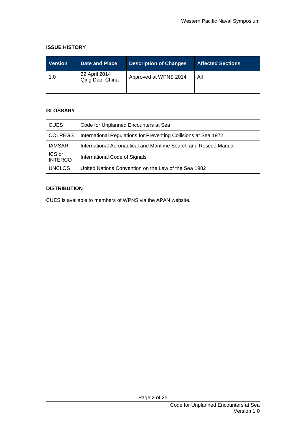#### **ISSUE HISTORY**

| <b>Version</b> | <b>Date and Place</b>            | <b>Description of Changes</b> | <b>Affected Sections</b> |
|----------------|----------------------------------|-------------------------------|--------------------------|
| 1.0            | 22 April 2014<br>Qing Dao, China | Approved at WPNS 2014         | All                      |
|                |                                  |                               |                          |

#### **GLOSSARY**

| <b>CUES</b>              | Code for Unplanned Encounters at Sea                             |
|--------------------------|------------------------------------------------------------------|
| <b>COLREGS</b>           | International Regulations for Preventing Collisions at Sea 1972  |
| <b>IAMSAR</b>            | International Aeronautical and Maritime Search and Rescue Manual |
| ICS or<br><b>INTERCO</b> | International Code of Signals                                    |
| <b>UNCLOS</b>            | United Nations Convention on the Law of the Sea 1982             |

#### **DISTRIBUTION**

CUES is available to members of WPNS via the APAN website.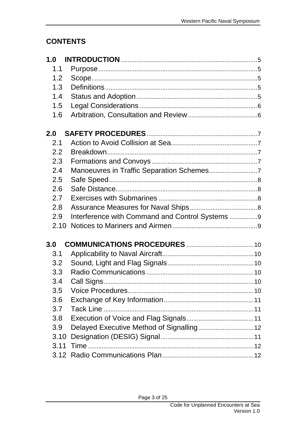# **CONTENTS**

| 1.0  |                                                 |
|------|-------------------------------------------------|
| 1.1  |                                                 |
| 1.2  |                                                 |
| 1.3  |                                                 |
| 1.4  |                                                 |
| 1.5  |                                                 |
| 1.6  |                                                 |
| 2.0  |                                                 |
| 2.1  |                                                 |
| 2.2  |                                                 |
| 2.3  |                                                 |
| 2.4  |                                                 |
| 2.5  |                                                 |
| 2.6  |                                                 |
| 2.7  |                                                 |
| 2.8  |                                                 |
| 2.9  | Interference with Command and Control Systems 9 |
| 2.10 |                                                 |
| 3.0  |                                                 |
| 3.1  |                                                 |
| 3.2  |                                                 |
| 3.3  |                                                 |
| 3.4  |                                                 |
| 3.5  |                                                 |
| 3.6  |                                                 |
| 3.7  |                                                 |
| 3.8  |                                                 |
| 3.9  |                                                 |
| 3.10 |                                                 |
| 3.11 |                                                 |
|      |                                                 |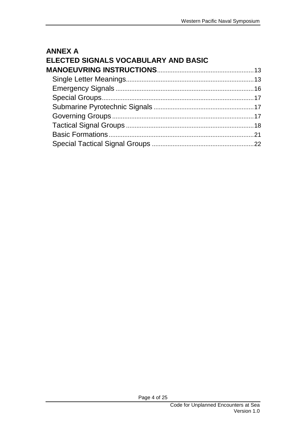| <b>ANNEX A</b>                       |  |
|--------------------------------------|--|
| ELECTED SIGNALS VOCABULARY AND BASIC |  |
|                                      |  |
|                                      |  |
|                                      |  |
|                                      |  |
|                                      |  |
|                                      |  |
|                                      |  |
|                                      |  |
|                                      |  |
|                                      |  |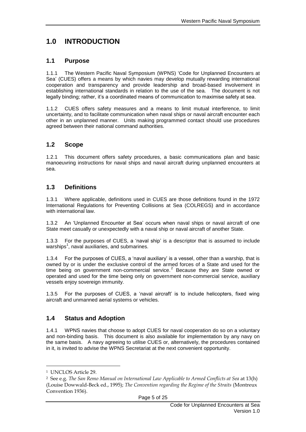# <span id="page-4-0"></span>**1.0 INTRODUCTION**

#### <span id="page-4-1"></span>**1.1 Purpose**

1.1.1 The Western Pacific Naval Symposium (WPNS) "Code for Unplanned Encounters at Sea" (CUES) offers a means by which navies may develop mutually rewarding international cooperation and transparency and provide leadership and broad-based involvement in establishing international standards in relation to the use of the sea. The document is not legally binding; rather, it's a coordinated means of communication to maximise safety at sea.

1.1.2 CUES offers safety measures and a means to limit mutual interference, to limit uncertainty, and to facilitate communication when naval ships or naval aircraft encounter each other in an unplanned manner. Units making programmed contact should use procedures agreed between their national command authorities.

#### <span id="page-4-2"></span>**1.2 Scope**

1.2.1 This document offers safety procedures, a basic communications plan and basic manoeuvring instructions for naval ships and naval aircraft during unplanned encounters at sea.

#### <span id="page-4-3"></span>**1.3 Definitions**

1.3.1 Where applicable, definitions used in CUES are those definitions found in the 1972 International Regulations for Preventing Collisions at Sea (COLREGS) and in accordance with international law.

1.3.2 An "Unplanned Encounter at Sea" occurs when naval ships or naval aircraft of one State meet casually or unexpectedly with a naval ship or naval aircraft of another State.

1.3.3 For the purposes of CUES, a "naval ship" is a descriptor that is assumed to include warships $<sup>1</sup>$ , naval auxiliaries, and submarines.</sup>

1.3.4 For the purposes of CUES, a "naval auxiliary" is a vessel, other than a warship, that is owned by or is under the exclusive control of the armed forces of a State and used for the time being on government non-commercial service. $2$  Because they are State owned or operated and used for the time being only on government non-commercial service, auxiliary vessels enjoy sovereign immunity.

1.3.5 For the purposes of CUES, a "naval aircraft" is to include helicopters, fixed wing aircraft and unmanned aerial systems or vehicles.

#### <span id="page-4-4"></span>**1.4 Status and Adoption**

1.4.1 WPNS navies that choose to adopt CUES for naval cooperation do so on a voluntary and non-binding basis. This document is also available for implementation by any navy on the same basis. A navy agreeing to utilise CUES or, alternatively, the procedures contained in it, is invited to advise the WPNS Secretariat at the next convenient opportunity.

<sup>1</sup> UNCLOS Article 29.

<sup>2</sup> See e.g. *The San Remo Manual on International Law Applicable to Armed Conflicts at Sea* at 13(h) (Louise Dowwald-Beck ed., 1995); *The Convention regarding the Regime of the Straits* (Montreux Convention 1936).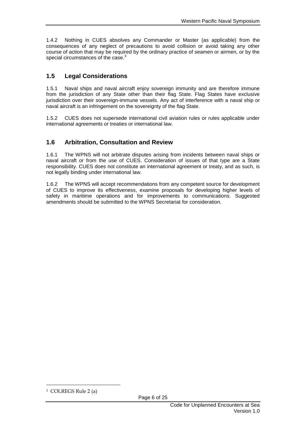1.4.2 Nothing in CUES absolves any Commander or Master (as applicable) from the consequences of any neglect of precautions to avoid collision or avoid taking any other course of action that may be required by the ordinary practice of seamen or airmen, or by the special circumstances of the case.<sup>3</sup>

#### <span id="page-5-0"></span>**1.5 Legal Considerations**

1.5.1 Naval ships and naval aircraft enjoy sovereign immunity and are therefore immune from the jurisdiction of any State other than their flag State. Flag States have exclusive jurisdiction over their sovereign-immune vessels. Any act of interference with a naval ship or naval aircraft is an infringement on the sovereignty of the flag State.

1.5.2 CUES does not supersede international civil aviation rules or rules applicable under international agreements or treaties or international law.

#### <span id="page-5-1"></span>**1.6 Arbitration, Consultation and Review**

1.6.1 The WPNS will not arbitrate disputes arising from incidents between naval ships or naval aircraft or from the use of CUES. Consideration of issues of that type are a State responsibility. CUES does not constitute an international agreement or treaty, and as such, is not legally binding under international law.

1.6.2 The WPNS will accept recommendations from any competent source for development of CUES to improve its effectiveness, examine proposals for developing higher levels of safety in maritime operations and for improvements to communications. Suggested amendments should be submitted to the WPNS Secretariat for consideration.

<sup>3</sup> COLREGS Rule 2 (a)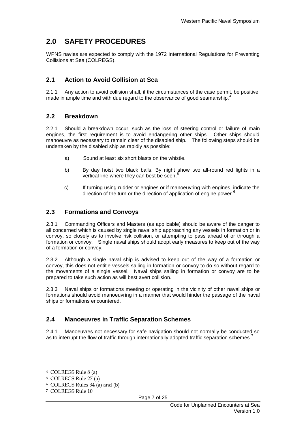# <span id="page-6-0"></span>**2.0 SAFETY PROCEDURES**

WPNS navies are expected to comply with the 1972 International Regulations for Preventing Collisions at Sea (COLREGS).

## <span id="page-6-1"></span>**2.1 Action to Avoid Collision at Sea**

2.1.1 Any action to avoid collision shall, if the circumstances of the case permit, be positive, made in ample time and with due regard to the observance of good seamanship.<sup>4</sup>

#### <span id="page-6-2"></span>**2.2 Breakdown**

2.2.1 Should a breakdown occur, such as the loss of steering control or failure of main engines, the first requirement is to avoid endangering other ships. Other ships should manoeuvre as necessary to remain clear of the disabled ship. The following steps should be undertaken by the disabled ship as rapidly as possible:

- a) Sound at least six short blasts on the whistle.
- b) By day hoist two black balls. By night show two all-round red lights in a vertical line where they can best be seen.<sup>5</sup>
- c) If turning using rudder or engines or if manoeuvring with engines, indicate the direction of the turn or the direction of application of engine power.<sup>6</sup>

#### <span id="page-6-3"></span>**2.3 Formations and Convoys**

2.3.1 Commanding Officers and Masters (as applicable) should be aware of the danger to all concerned which is caused by single naval ship approaching any vessels in formation or in convoy, so closely as to involve risk collision, or attempting to pass ahead of or through a formation or convoy. Single naval ships should adopt early measures to keep out of the way of a formation or convoy.

2.3.2 Although a single naval ship is advised to keep out of the way of a formation or convoy, this does not entitle vessels sailing in formation or convoy to do so without regard to the movements of a single vessel. Naval ships sailing in formation or convoy are to be prepared to take such action as will best avert collision.

2.3.3 Naval ships or formations meeting or operating in the vicinity of other naval ships or formations should avoid manoeuvring in a manner that would hinder the passage of the naval ships or formations encountered.

## <span id="page-6-4"></span>**2.4 Manoeuvres in Traffic Separation Schemes**

2.4.1 Manoeuvres not necessary for safe navigation should not normally be conducted so as to interrupt the flow of traffic through internationally adopted traffic separation schemes.<sup>7</sup>

<sup>4</sup> COLREGS Rule 8 (a)

<sup>5</sup> COLREGS Rule 27 (a)

<sup>6</sup> COLREGS Rules 34 (a) and (b)

<sup>7</sup> COLREGS Rule 10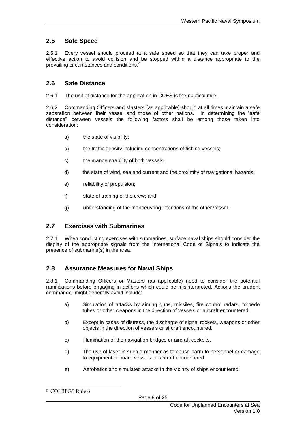## <span id="page-7-0"></span>**2.5 Safe Speed**

2.5.1 Every vessel should proceed at a safe speed so that they can take proper and effective action to avoid collision and be stopped within a distance appropriate to the prevailing circumstances and conditions.<sup>8</sup>

#### <span id="page-7-1"></span>**2.6 Safe Distance**

2.6.1 The unit of distance for the application in CUES is the nautical mile.

2.6.2 Commanding Officers and Masters (as applicable) should at all times maintain a safe separation between their vessel and those of other nations. In determining the "safe distance" between vessels the following factors shall be among those taken into consideration:

- a) the state of visibility;
- b) the traffic density including concentrations of fishing vessels;
- c) the manoeuvrability of both vessels;
- d) the state of wind, sea and current and the proximity of navigational hazards;
- e) reliability of propulsion;
- f) state of training of the crew; and
- g) understanding of the manoeuvring intentions of the other vessel.

#### <span id="page-7-2"></span>**2.7 Exercises with Submarines**

2.7.1 When conducting exercises with submarines, surface naval ships should consider the display of the appropriate signals from the International Code of Signals to indicate the presence of submarine(s) in the area.

#### <span id="page-7-3"></span>**2.8 Assurance Measures for Naval Ships**

2.8.1 Commanding Officers or Masters (as applicable) need to consider the potential ramifications before engaging in actions which could be misinterpreted. Actions the prudent commander might generally avoid include:

- a) Simulation of attacks by aiming guns, missiles, fire control radars, torpedo tubes or other weapons in the direction of vessels or aircraft encountered.
- b) Except in cases of distress, the discharge of signal rockets, weapons or other objects in the direction of vessels or aircraft encountered.
- c) Illumination of the navigation bridges or aircraft cockpits.
- d) The use of laser in such a manner as to cause harm to personnel or damage to equipment onboard vessels or aircraft encountered.
- e) Aerobatics and simulated attacks in the vicinity of ships encountered.

<sup>8</sup> COLREGS Rule 6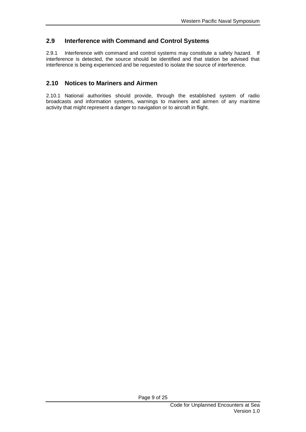#### <span id="page-8-0"></span>**2.9 Interference with Command and Control Systems**

2.9.1 Interference with command and control systems may constitute a safety hazard. If interference is detected, the source should be identified and that station be advised that interference is being experienced and be requested to isolate the source of interference.

#### <span id="page-8-1"></span>**2.10 Notices to Mariners and Airmen**

2.10.1 National authorities should provide, through the established system of radio broadcasts and information systems, warnings to mariners and airmen of any maritime activity that might represent a danger to navigation or to aircraft in flight.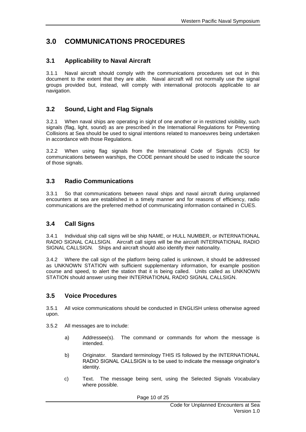# <span id="page-9-0"></span>**3.0 COMMUNICATIONS PROCEDURES**

#### <span id="page-9-1"></span>**3.1 Applicability to Naval Aircraft**

3.1.1 Naval aircraft should comply with the communications procedures set out in this document to the extent that they are able. Naval aircraft will not normally use the signal groups provided but, instead, will comply with international protocols applicable to air navigation.

#### <span id="page-9-2"></span>**3.2 Sound, Light and Flag Signals**

3.2.1 When naval ships are operating in sight of one another or in restricted visibility, such signals (flag, light, sound) as are prescribed in the International Regulations for Preventing Collisions at Sea should be used to signal intentions related to manoeuvres being undertaken in accordance with those Regulations.

3.2.2 When using flag signals from the International Code of Signals (ICS) for communications between warships, the CODE pennant should be used to indicate the source of those signals.

#### <span id="page-9-3"></span>**3.3 Radio Communications**

3.3.1 So that communications between naval ships and naval aircraft during unplanned encounters at sea are established in a timely manner and for reasons of efficiency, radio communications are the preferred method of communicating information contained in CUES.

#### <span id="page-9-4"></span>**3.4 Call Signs**

3.4.1 Individual ship call signs will be ship NAME, or HULL NUMBER, or INTERNATIONAL RADIO SIGNAL CALLSIGN. Aircraft call signs will be the aircraft INTERNATIONAL RADIO SIGNAL CALLSIGN. Ships and aircraft should also identify their nationality.

3.4.2 Where the call sign of the platform being called is unknown, it should be addressed as UNKNOWN STATION with sufficient supplementary information, for example position course and speed, to alert the station that it is being called. Units called as UNKNOWN STATION should answer using their INTERNATIONAL RADIO SIGNAL CALLSIGN.

#### <span id="page-9-5"></span>**3.5 Voice Procedures**

3.5.1 All voice communications should be conducted in ENGLISH unless otherwise agreed upon.

- 3.5.2 All messages are to include:
	- a) Addressee(s). The command or commands for whom the message is intended.
	- b) Originator. Standard terminology THIS IS followed by the INTERNATIONAL RADIO SIGNAL CALLSIGN is to be used to indicate the message originator"s identity.
	- c) Text. The message being sent, using the Selected Signals Vocabulary where possible.

Page 10 of 25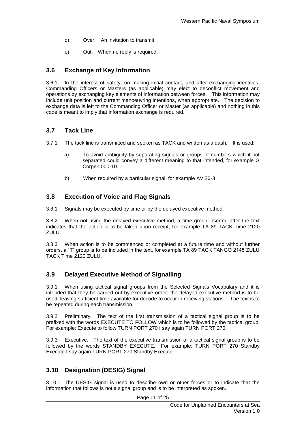- d) Over. An invitation to transmit.
- e) Out. When no reply is required.

#### <span id="page-10-0"></span>**3.6 Exchange of Key Information**

3.6.1 In the interest of safety, on making initial contact, and after exchanging identities, Commanding Officers or Masters (as applicable) may elect to deconflict movement and operations by exchanging key elements of information between forces. This information may include unit position and current manoeuvring intentions, when appropriate. The decision to exchange data is left to the Commanding Officer or Master (as applicable) and nothing in this code is meant to imply that information exchange is required.

#### <span id="page-10-1"></span>**3.7 Tack Line**

- 3.7.1 The tack line is transmitted and spoken as TACK and written as a dash. It is used:
	- a) To avoid ambiguity by separating signals or groups of numbers which if not separated could convey a different meaning to that intended, for example G Corpen 000-10.
	- b) When required by a particular signal, for example AV 26-3

#### <span id="page-10-2"></span>**3.8 Execution of Voice and Flag Signals**

3.8.1 Signals may be executed by time or by the delayed executive method.

3.8.2 When not using the delayed executive method, a time group inserted after the text indicates that the action is to be taken upon receipt, for example TA 89 TACK Time 2120 ZULU.

3.8.3 When action is to be commenced or completed at a future time and without further orders, a "T" group is to be included in the text, for example TA 89 TACK TANGO 2145 ZULU TACK Time 2120 ZULU.

## <span id="page-10-3"></span>**3.9 Delayed Executive Method of Signalling**

3.9.1 When using tactical signal groups from the Selected Signals Vocabulary and it is intended that they be carried out by executive order, the delayed executive method is to be used, leaving sufficient time available for decode to occur in receiving stations. The text is to be repeated during each transmission.

3.9.2 Preliminary. The text of the first transmission of a tactical signal group is to be prefixed with the words EXECUTE TO FOLLOW which is to be followed by the tactical group. For example: Execute to follow TURN PORT 270 I say again TURN PORT 270.

3.9.3 Executive. The text of the executive transmission of a tactical signal group is to be followed by the words STANDBY EXECUTE. For example: TURN PORT 270 Standby Execute I say again TURN PORT 270 Standby Execute.

## <span id="page-10-4"></span>**3.10 Designation (DESIG) Signal**

3.10.1 The DESIG signal is used to describe own or other forces or to indicate that the information that follows is not a signal group and is to be interpreted as spoken.

Page 11 of 25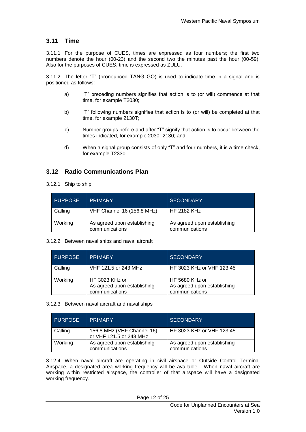#### <span id="page-11-0"></span>**3.11 Time**

3.11.1 For the purpose of CUES, times are expressed as four numbers; the first two numbers denote the hour (00-23) and the second two the minutes past the hour (00-59). Also for the purposes of CUES, time is expressed as ZULU.

3.11.2 The letter "T" (pronounced TANG GO) is used to indicate time in a signal and is positioned as follows:

- a) "T" preceding numbers signifies that action is to (or will) commence at that time, for example T2030;
- b) "T" following numbers signifies that action is to (or will) be completed at that time, for example 2130T;
- c) Number groups before and after "T" signify that action is to occur between the times indicated, for example 2030T2130; and
- d) When a signal group consists of only "T" and four numbers, it is a time check, for example T2330.

#### <span id="page-11-1"></span>**3.12 Radio Communications Plan**

#### 3.12.1 Ship to ship

| <b>PURPOSE</b> | <b>PRIMARY</b>                                | <b>SECONDARY</b>                              |
|----------------|-----------------------------------------------|-----------------------------------------------|
| Calling        | VHF Channel 16 (156.8 MHz)                    | HF 2182 KHz                                   |
| Working        | As agreed upon establishing<br>communications | As agreed upon establishing<br>communications |

#### 3.12.2 Between naval ships and naval aircraft

| <b>PURPOSE</b> | <b>PRIMARY</b>                                                  | <b>SECONDARY</b>                                                |
|----------------|-----------------------------------------------------------------|-----------------------------------------------------------------|
| Calling        | VHF 121.5 or 243 MHz                                            | HF 3023 KHz or VHF 123.45                                       |
| Working        | HF 3023 KHz or<br>As agreed upon establishing<br>communications | HF 5680 KHz or<br>As agreed upon establishing<br>communications |

#### 3.12.3 Between naval aircraft and naval ships

| <b>PURPOSE</b> | <b>PRIMARY</b>                                        | <b>SECONDARY</b>                              |
|----------------|-------------------------------------------------------|-----------------------------------------------|
| Calling        | 156.8 MHz (VHF Channel 16)<br>or VHF 121.5 or 243 MHz | HF 3023 KHz or VHF 123.45                     |
| Working        | As agreed upon establishing<br>communications         | As agreed upon establishing<br>communications |

3.12.4 When naval aircraft are operating in civil airspace or Outside Control Terminal Airspace, a designated area working frequency will be available. When naval aircraft are working within restricted airspace, the controller of that airspace will have a designated working frequency.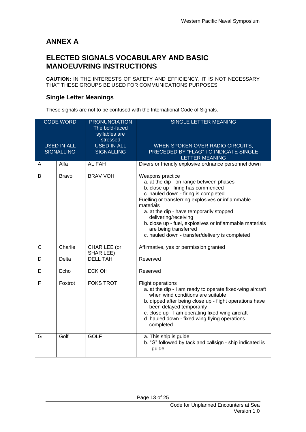# <span id="page-12-0"></span>**ANNEX A**

## <span id="page-12-1"></span>**ELECTED SIGNALS VOCABULARY AND BASIC MANOEUVRING INSTRUCTIONS**

**CAUTION:** IN THE INTERESTS OF SAFETY AND EFFICIENCY, IT IS NOT NECESSARY THAT THESE GROUPS BE USED FOR COMMUNICATIONS PURPOSES

#### <span id="page-12-2"></span>**Single Letter Meanings**

These signals are not to be confused with the International Code of Signals.

| <b>CODE WORD</b> |                    | <b>PRONUNCIATION</b>                        | SINGLE LETTER MEANING                                                                                                                                                                                                                                                                                                                                                                                                          |
|------------------|--------------------|---------------------------------------------|--------------------------------------------------------------------------------------------------------------------------------------------------------------------------------------------------------------------------------------------------------------------------------------------------------------------------------------------------------------------------------------------------------------------------------|
|                  |                    | The bold-faced<br>syllables are<br>stressed |                                                                                                                                                                                                                                                                                                                                                                                                                                |
|                  | <b>USED IN ALL</b> | <b>USED IN ALL</b>                          | WHEN SPOKEN OVER RADIO CIRCUITS,                                                                                                                                                                                                                                                                                                                                                                                               |
|                  | <b>SIGNALLING</b>  | <b>SIGNALLING</b>                           | PRECEDED BY "FLAG" TO INDICATE SINGLE                                                                                                                                                                                                                                                                                                                                                                                          |
|                  |                    |                                             | <b>LETTER MEANING</b>                                                                                                                                                                                                                                                                                                                                                                                                          |
| Α                | Alfa               | AL FAH                                      | Divers or friendly explosive ordnance personnel down                                                                                                                                                                                                                                                                                                                                                                           |
| B                | <b>Bravo</b>       | <b>BRAV VOH</b>                             | <b>Weapons practice</b><br>a. at the dip - on range between phases<br>b. close up - firing has commenced<br>c. hauled down - firing is completed<br>Fuelling or transferring explosives or inflammable<br>materials<br>a. at the dip - have temporarily stopped<br>delivering/receiving<br>b. close up - fuel, explosives or inflammable materials<br>are being transferred<br>c. hauled down - transfer/delivery is completed |
| C                | Charlie            | CHAR LEE (or<br>SHAR LEE)                   | Affirmative, yes or permission granted                                                                                                                                                                                                                                                                                                                                                                                         |
| D                | Delta              | <b>DELL TAH</b>                             | Reserved                                                                                                                                                                                                                                                                                                                                                                                                                       |
| Е                | Echo               | <b>ECK OH</b>                               | Reserved                                                                                                                                                                                                                                                                                                                                                                                                                       |
| F                | Foxtrot            | <b>FOKS TROT</b>                            | <b>Flight operations</b><br>a. at the dip - I am ready to operate fixed-wing aircraft<br>when wind conditions are suitable<br>b. dipped after being close up - flight operations have<br>been delayed temporarily<br>c. close up - I am operating fixed-wing aircraft<br>d. hauled down - fixed wing flying operations<br>completed                                                                                            |
| G                | Golf               | <b>GOLF</b>                                 | a. This ship is guide<br>b. "G" followed by tack and callsign - ship indicated is<br>guide                                                                                                                                                                                                                                                                                                                                     |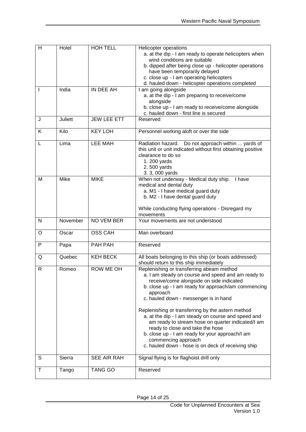| H            | Hotel          | <b>HOH TELL</b>    | <b>Helicopter operations</b>                                                                             |
|--------------|----------------|--------------------|----------------------------------------------------------------------------------------------------------|
|              |                |                    | a. at the dip - I am ready to operate helicopters when<br>wind conditions are suitable                   |
|              |                |                    | b. dipped after being close up - helicopter operations                                                   |
|              |                |                    | have been temporarily delayed                                                                            |
|              |                |                    | c. close up - I am operating helicopters                                                                 |
|              |                |                    | d. hauled down - helicopter operations completed                                                         |
|              | India          | IN DEE AH          | I am going alongside                                                                                     |
|              |                |                    | a. at the dip - I am preparing to receive/come                                                           |
|              |                |                    | alongside                                                                                                |
|              |                |                    | b. close up - I am ready to receive/come alongside<br>c. hauled down - first line is secured             |
| J            | <b>Juliett</b> | <b>JEW LEE ETT</b> | Reserved                                                                                                 |
|              |                |                    |                                                                                                          |
| Κ            | Kilo           | <b>KEY LOH</b>     | Personnel working aloft or over the side                                                                 |
| L            | Lima           | <b>LEE MAH</b>     | Radiation hazard. Do not approach within  yards of                                                       |
|              |                |                    | this unit or unit indicated without first obtaining positive                                             |
|              |                |                    | clearance to do so<br>1. 200 yards                                                                       |
|              |                |                    | 2.500 yards                                                                                              |
|              |                |                    | 3. 3, 000 yards                                                                                          |
| M            | Mike           | <b>MIKE</b>        | When not underway - Medical duty ship.<br>I have                                                         |
|              |                |                    | medical and dental duty                                                                                  |
|              |                |                    | a. M1 - I have medical guard duty                                                                        |
|              |                |                    | b. M2 - I have dental guard duty                                                                         |
|              |                |                    | While conducting flying operations - Disregard my                                                        |
|              |                |                    | movements                                                                                                |
| $\mathsf{N}$ | November       | NO VEM BER         | Your movements are not understood                                                                        |
|              |                | <b>OSS CAH</b>     |                                                                                                          |
| O            | Oscar          |                    | Man overboard                                                                                            |
| P            | Papa           | PAH PAH            | Reserved                                                                                                 |
| Q            | Quebec         | <b>KEH BECK</b>    | All boats belonging to this ship (or boats addressed)                                                    |
|              |                |                    | should return to this ship immediately                                                                   |
| R            | Romeo          | <b>ROW ME OH</b>   | Replenishing or transferring abeam method                                                                |
|              |                |                    | a. I am steady on course and speed and am ready to                                                       |
|              |                |                    | receive/come alongside on side indicated<br>b. close up - I am ready for approach/am commencing          |
|              |                |                    | approach                                                                                                 |
|              |                |                    | c. hauled down - messenger is in hand                                                                    |
|              |                |                    |                                                                                                          |
|              |                |                    | Replenishing or transferring by the astern method                                                        |
|              |                |                    | a. at the dip - I am steady on course and speed and<br>am ready to stream hose on quarter indicated/I am |
|              |                |                    | ready to close and take the hose                                                                         |
|              |                |                    | b. close up - I am ready for your approach/I am                                                          |
|              |                |                    | commencing approach                                                                                      |
|              |                |                    | c. hauled down - hose is on deck of receiving ship                                                       |
| S            | Sierra         | SEE AIR RAH        | Signal flying is for flaghoist drill only                                                                |
| Τ            | Tango          | <b>TANG GO</b>     | Reserved                                                                                                 |
|              |                |                    |                                                                                                          |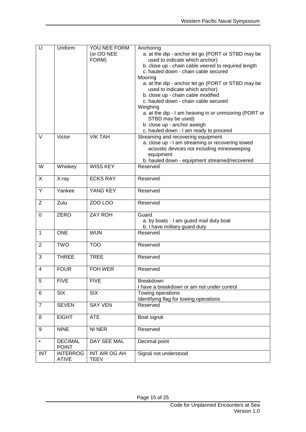| $\overline{\mathsf{U}}$ | Uniform                        | YOU NEE FORM<br>(or OO NEE | Anchoring<br>a. at the dip - anchor let go (PORT or STBD may be                                 |
|-------------------------|--------------------------------|----------------------------|-------------------------------------------------------------------------------------------------|
|                         |                                | FORM)                      | used to indicate which anchor)                                                                  |
|                         |                                |                            | b. close up - chain cable veered to required length<br>c. hauled down - chain cable secured     |
|                         |                                |                            | Mooring                                                                                         |
|                         |                                |                            | a. at the dip - anchor let go (PORT or STBD may be                                              |
|                         |                                |                            | used to indicate which anchor)                                                                  |
|                         |                                |                            | b. close up - chain cable modified                                                              |
|                         |                                |                            | c. hauled down - chain cable secured                                                            |
|                         |                                |                            | Weighing<br>a. at the dip - I am heaving in or unmooring (PORT or                               |
|                         |                                |                            | STBD may be used)                                                                               |
|                         |                                |                            | b. close up - anchor aweigh                                                                     |
|                         |                                |                            | c. hauled down - I am ready to proceed                                                          |
| V                       | Victor                         | <b>VIK TAH</b>             | Streaming and recovering equipment                                                              |
|                         |                                |                            | a. close up - I am streaming or recovering towed<br>acoustic devices not including minesweeping |
|                         |                                |                            | equipment                                                                                       |
|                         |                                |                            | b. hauled down - equipment streamed/recovered                                                   |
| W                       | Whiskey                        | <b>WISS KEY</b>            | Reserved                                                                                        |
| X                       | X-ray                          | <b>ECKS RAY</b>            | Reserved                                                                                        |
| Y                       | Yankee                         | YANG KEY                   | Reserved                                                                                        |
| Z                       | Zulu                           | <b>ZOO LOO</b>             | Reserved                                                                                        |
| 0                       | <b>ZERO</b>                    | <b>ZAY ROH</b>             | Guard                                                                                           |
|                         |                                |                            | a. by boats - I am guard mail duty boat                                                         |
|                         |                                |                            | b. I have military guard duty                                                                   |
| $\mathbf{1}$            | <b>ONE</b>                     | <b>WUN</b>                 | Reserved                                                                                        |
| $\overline{2}$          | <b>TWO</b>                     | <b>TOO</b>                 | Reserved                                                                                        |
| 3                       | <b>THREE</b>                   | <b>TREE</b>                | Reserved                                                                                        |
| 4                       | <b>FOUR</b>                    | FOH WER                    | Reserved                                                                                        |
| 5                       | <b>FIVE</b>                    | <b>FIVE</b>                | Breakdown<br>I have a breakdown or am not under control                                         |
| 6                       | SIX                            | $\overline{S}$             | Towing operations                                                                               |
|                         |                                |                            | Identifying flag for towing operations                                                          |
| $\overline{7}$          | <b>SEVEN</b>                   | <b>SAY VEN</b>             | Reserved                                                                                        |
| 8                       | <b>EIGHT</b>                   | <b>ATE</b>                 | Boat signal                                                                                     |
| 9                       | <b>NINE</b>                    | NI NER                     | Reserved                                                                                        |
| $\bullet$               | <b>DECIMAL</b><br><b>POINT</b> | DAY SEE MAL                | Decimal point                                                                                   |
| <b>INT</b>              | <b>INTERROG</b>                | INT AIR OG AH              | Signal not understood                                                                           |
|                         | <b>ATIVE</b>                   | <b>TEEV</b>                |                                                                                                 |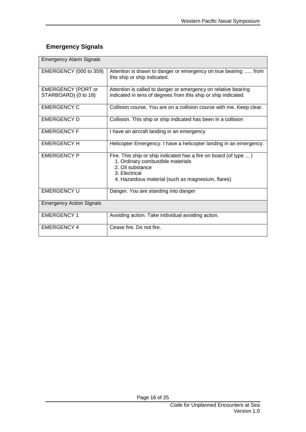## <span id="page-15-0"></span>**Emergency Signals**

| <b>Emergency Alarm Signals</b>                    |                                                                                                                                                                                                 |  |
|---------------------------------------------------|-------------------------------------------------------------------------------------------------------------------------------------------------------------------------------------------------|--|
| <b>EMERGENCY (000 to 359)</b>                     | Attention is drawn to danger or emergency on true bearing  from<br>this ship or ship indicated.                                                                                                 |  |
| <b>EMERGENCY (PORT or</b><br>STARBOARD) (0 to 18) | Attention is called to danger or emergency on relative bearing<br>indicated in tens of degrees from this ship or ship indicated.                                                                |  |
| <b>EMERGENCY C</b>                                | Collision course. You are on a collision course with me. Keep clear.                                                                                                                            |  |
| <b>EMERGENCY D</b>                                | Collision. This ship or ship indicated has been in a collision                                                                                                                                  |  |
| <b>EMERGENCY F</b>                                | I have an aircraft landing in an emergency                                                                                                                                                      |  |
| <b>EMERGENCY H</b>                                | Helicopter Emergency. I have a helicopter landing in an emergency.                                                                                                                              |  |
| <b>EMERGENCY P</b>                                | Fire. This ship or ship indicated has a fire on board (of type )<br>1. Ordinary combustible materials<br>2. Oil substance<br>3. Electrical<br>4. Hazardous material (such as magnesium, flares) |  |
| <b>EMERGENCY U</b>                                | Danger. You are standing into danger                                                                                                                                                            |  |
| <b>Emergency Action Signals</b>                   |                                                                                                                                                                                                 |  |
| <b>EMERGENCY1</b>                                 | Avoiding action. Take individual avoiding action.                                                                                                                                               |  |
| <b>EMERGENCY 4</b>                                | Cease fire. Do not fire.                                                                                                                                                                        |  |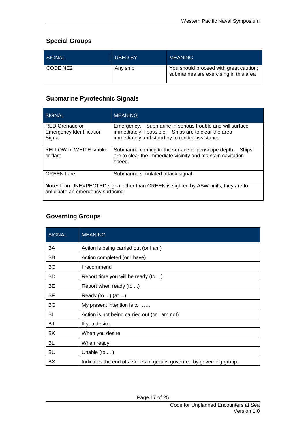#### <span id="page-16-0"></span>**Special Groups**

| SIGNAL     | <b>USED BY</b> | <b>MEANING</b>                                                                   |
|------------|----------------|----------------------------------------------------------------------------------|
| I CODE NE2 | Any ship       | You should proceed with great caution;<br>submarines are exercising in this area |

#### <span id="page-16-1"></span>**Submarine Pyrotechnic Signals**

| SIGNAL                                                                                                                    | <b>MEANING</b>                                                                                                                                                        |  |
|---------------------------------------------------------------------------------------------------------------------------|-----------------------------------------------------------------------------------------------------------------------------------------------------------------------|--|
| RED Grenade or<br><b>Emergency Identification</b><br>Signal                                                               | Submarine in serious trouble and will surface<br>Emergency.<br>immediately if possible. Ships are to clear the area<br>immediately and stand by to render assistance. |  |
| YELLOW or WHITE smoke<br>or flare                                                                                         | Submarine coming to the surface or periscope depth.<br>Ships<br>are to clear the immediate vicinity and maintain cavitation<br>speed.                                 |  |
| <b>GREEN</b> flare                                                                                                        | Submarine simulated attack signal.                                                                                                                                    |  |
| Note: If an UNEXPECTED signal other than GREEN is sighted by ASW units, they are to<br>anticipate an emergency surfacing. |                                                                                                                                                                       |  |

#### <span id="page-16-2"></span>**Governing Groups**

| <b>SIGNAL</b> | <b>MEANING</b>                                                       |
|---------------|----------------------------------------------------------------------|
| BA            | Action is being carried out (or I am)                                |
| BB            | Action completed (or I have)                                         |
| BC            | I recommend                                                          |
| <b>BD</b>     | Report time you will be ready (to )                                  |
| BE            | Report when ready (to )                                              |
| BF            | Ready (to ) (at )                                                    |
| BG            | My present intention is to                                           |
| BI            | Action is not being carried out (or I am not)                        |
| BJ            | If you desire                                                        |
| BK            | When you desire                                                      |
| BL            | When ready                                                           |
| BU            | Unable $(to \dots)$                                                  |
| BX            | Indicates the end of a series of groups governed by governing group. |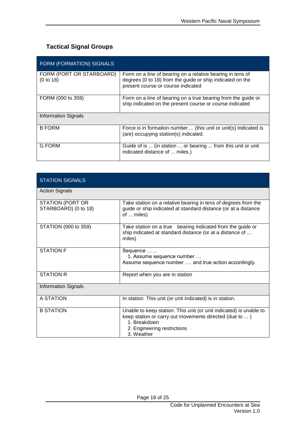## <span id="page-17-0"></span>**Tactical Signal Groups**

| FORM (FORMATION) SIGNALS              |                                                                                                                                                               |
|---------------------------------------|---------------------------------------------------------------------------------------------------------------------------------------------------------------|
| FORM (PORT OR STARBOARD)<br>(0 to 18) | Form on a line of bearing on a relative bearing in tens of<br>degrees (0 to 18) from the guide or ship indicated on the<br>present course or course indicated |
| FORM (000 to 359)                     | Form on a line of bearing on a true bearing from the guide or<br>ship indicated on the present course or course indicated                                     |
| <b>Information Signals</b>            |                                                                                                                                                               |
| <b>B FORM</b>                         | Force is in formation number  (this unit or unit(s) indicated is<br>(are) occupying station(s) indicated.                                                     |
| G FORM                                | Guide of is  (in station  or bearing  from this unit or unit<br>indicated distance of  miles.)                                                                |

| <b>STATION SIGNALS</b>                   |                                                                                                                                                                                           |
|------------------------------------------|-------------------------------------------------------------------------------------------------------------------------------------------------------------------------------------------|
| <b>Action Signals</b>                    |                                                                                                                                                                                           |
| STATION (PORT OR<br>STARBOARD) (0 to 18) | Take station on a relative bearing in tens of degrees from the<br>guide or ship indicated at standard distance (or at a distance<br>of  miles)                                            |
| STATION (000 to 359)                     | Take station on a true bearing indicated from the guide or<br>ship indicated at standard distance (or at a distance of<br>miles)                                                          |
| <b>STATION F</b>                         | Sequence<br>1. Assume sequence number<br>Assume sequence number  and true action accordingly.                                                                                             |
| <b>STATION R</b>                         | Report when you are in station                                                                                                                                                            |
| <b>Information Signals</b>               |                                                                                                                                                                                           |
| A STATION                                | In station. This unit (or unit indicated) is in station.                                                                                                                                  |
| <b>B STATION</b>                         | Unable to keep station. This unit (or unit indicated) is unable to<br>keep station or carry out movements directed (due to )<br>1. Breakdown<br>2. Engineering restrictions<br>3. Weather |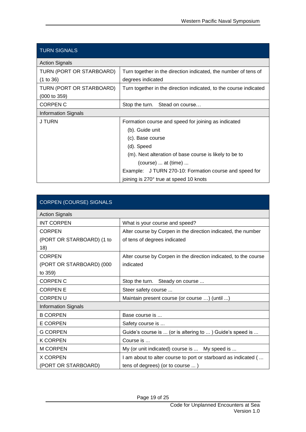| <b>TURN SIGNALS</b>        |                                                                   |  |
|----------------------------|-------------------------------------------------------------------|--|
| <b>Action Signals</b>      |                                                                   |  |
| TURN (PORT OR STARBOARD)   | Turn together in the direction indicated, the number of tens of   |  |
| (1 to 36)                  | degrees indicated                                                 |  |
| TURN (PORT OR STARBOARD)   | Turn together in the direction indicated, to the course indicated |  |
| $(000 \text{ to } 359)$    |                                                                   |  |
| <b>CORPEN C</b>            | Stop the turn. Stead on course                                    |  |
| <b>Information Signals</b> |                                                                   |  |
| J TURN                     | Formation course and speed for joining as indicated               |  |
|                            | (b). Guide unit                                                   |  |
|                            | (c). Base course                                                  |  |
|                            | (d). Speed                                                        |  |
|                            | (m). Next alteration of base course is likely to be to            |  |
|                            | $(course) \dots$ at $(time) \dots$                                |  |
|                            | Example: J TURN 270-10: Formation course and speed for            |  |
|                            | joining is 270° true at speed 10 knots                            |  |

| <b>CORPEN (COURSE) SIGNALS</b> |                                                                  |
|--------------------------------|------------------------------------------------------------------|
| <b>Action Signals</b>          |                                                                  |
| <b>INT CORPEN</b>              | What is your course and speed?                                   |
| <b>CORPEN</b>                  | Alter course by Corpen in the direction indicated, the number    |
| (PORT OR STARBOARD) (1 to      | of tens of degrees indicated                                     |
| 18)                            |                                                                  |
| <b>CORPEN</b>                  | Alter course by Corpen in the direction indicated, to the course |
| (PORT OR STARBOARD) (000       | indicated                                                        |
| to 359)                        |                                                                  |
| <b>CORPEN C</b>                | Stop the turn. Steady on course                                  |
| <b>CORPENE</b>                 | Steer safety course                                              |
| <b>CORPENU</b>                 | Maintain present course (or course ) (until )                    |
| <b>Information Signals</b>     |                                                                  |
| <b>B CORPEN</b>                | Base course is                                                   |
| <b>E CORPEN</b>                | Safety course is                                                 |
| <b>G CORPEN</b>                | Guide's course is  (or is altering to ) Guide's speed is         |
| <b>K CORPEN</b>                | Course is                                                        |
| <b>M CORPEN</b>                | My (or unit indicated) course is  My speed is                    |
| <b>X CORPEN</b>                | I am about to alter course to port or starboard as indicated (   |
| (PORT OR STARBOARD)            | tens of degrees) (or to course )                                 |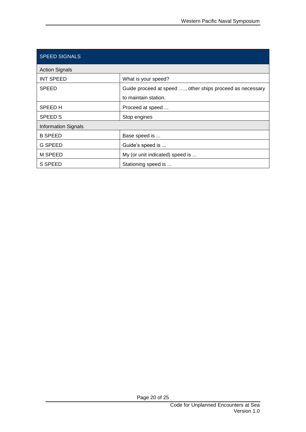| <b>SPEED SIGNALS</b>       |                                                           |
|----------------------------|-----------------------------------------------------------|
| <b>Action Signals</b>      |                                                           |
| <b>INT SPEED</b>           | What is your speed?                                       |
| <b>SPEED</b>               | Guide proceed at speed , other ships proceed as necessary |
|                            | to maintain station.                                      |
| <b>SPEED H</b>             | Proceed at speed                                          |
| <b>SPEED S</b>             | Stop engines                                              |
| <b>Information Signals</b> |                                                           |
| <b>B SPEED</b>             | Base speed is                                             |
| <b>G SPEED</b>             | Guide's speed is                                          |
| M SPEED                    | My (or unit indicated) speed is                           |
| S SPEED                    | Stationing speed is                                       |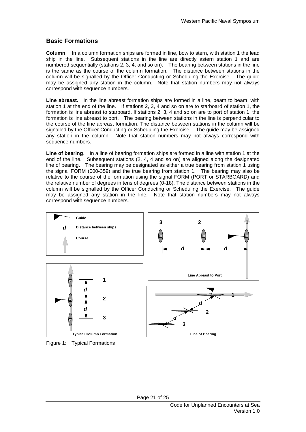## <span id="page-20-0"></span>**Basic Formations**

**Column**. In a column formation ships are formed in line, bow to stern, with station 1 the lead ship in the line. Subsequent stations in the line are directly astern station 1 and are numbered sequentially (stations 2, 3, 4, and so on). The bearing between stations in the line is the same as the course of the column formation. The distance between stations in the column will be signalled by the Officer Conducting or Scheduling the Exercise. The guide may be assigned any station in the column. Note that station numbers may not always correspond with sequence numbers.

**Line abreast.** In the line abreast formation ships are formed in a line, beam to beam, with station 1 at the end of the line. If stations 2, 3, 4 and so on are to starboard of station 1, the formation is line abreast to starboard. If stations 2, 3, 4 and so on are to port of station 1, the formation is line abreast to port. The bearing between stations in the line is perpendicular to the course of the line abreast formation. The distance between stations in the column will be signalled by the Officer Conducting or Scheduling the Exercise. The guide may be assigned any station in the column. Note that station numbers may not always correspond with sequence numbers.

**Line of bearing**. In a line of bearing formation ships are formed in a line with station 1 at the end of the line. Subsequent stations (2, 4, 4 and so on) are aligned along the designated line of bearing. The bearing may be designated as either a true bearing from station 1 using the signal FORM (000-359) and the true bearing from station 1. The bearing may also be relative to the course of the formation using the signal FORM (PORT or STARBOARD) and the relative number of degrees in tens of degrees (0-18). The distance between stations in the column will be signalled by the Officer Conducting or Scheduling the Exercise. The guide may be assigned any station in the line. Note that station numbers may not always correspond with sequence numbers.



Figure 1: Typical Formations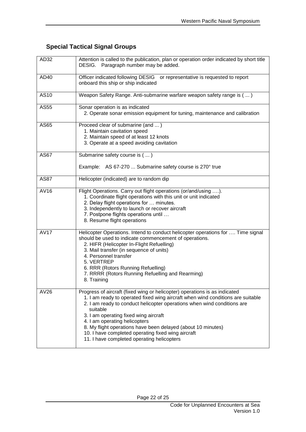## <span id="page-21-0"></span>**Special Tactical Signal Groups**

| AD32        | Attention is called to the publication, plan or operation order indicated by short title<br>DESIG. Paragraph number may be added.                                                                                                                                                                                                                                                                                                                                                                  |
|-------------|----------------------------------------------------------------------------------------------------------------------------------------------------------------------------------------------------------------------------------------------------------------------------------------------------------------------------------------------------------------------------------------------------------------------------------------------------------------------------------------------------|
| AD40        | Officer indicated following DESIG or representative is requested to report<br>onboard this ship or ship indicated                                                                                                                                                                                                                                                                                                                                                                                  |
| AS10        | Weapon Safety Range. Anti-submarine warfare weapon safety range is ()                                                                                                                                                                                                                                                                                                                                                                                                                              |
| AS55        | Sonar operation is as indicated<br>2. Operate sonar emission equipment for tuning, maintenance and calibration                                                                                                                                                                                                                                                                                                                                                                                     |
| AS65        | Proceed clear of submarine (and )<br>1. Maintain cavitation speed<br>2. Maintain speed of at least 12 knots<br>3. Operate at a speed avoiding cavitation                                                                                                                                                                                                                                                                                                                                           |
| <b>AS67</b> | Submarine safety course is ()<br>Example: AS 67-270  Submarine safety course is 270° true                                                                                                                                                                                                                                                                                                                                                                                                          |
| <b>AS87</b> | Helicopter (indicated) are to random dip                                                                                                                                                                                                                                                                                                                                                                                                                                                           |
| AV16        | Flight Operations. Carry out flight operations (or/and/using ).<br>1. Coordinate flight operations with this unit or unit indicated<br>2. Delay flight operations for  minutes.<br>3. Independently to launch or recover aircraft<br>7. Postpone flights operations until<br>8. Resume flight operations                                                                                                                                                                                           |
| <b>AV17</b> | Helicopter Operations. Intend to conduct helicopter operations for  Time signal<br>should be used to indicate commencement of operations.<br>2. HIFR (Helicopter In-Flight Refuelling)<br>3. Mail transfer (in sequence of units)<br>4. Personnel transfer<br>5. VERTREP<br>6. RRR (Rotors Running Refuelling)<br>7. RRRR (Rotors Running Refuelling and Rearming)<br>8. Training                                                                                                                  |
| AV26        | Progress of aircraft (fixed wing or helicopter) operations is as indicated<br>1. I am ready to operated fixed wing aircraft when wind conditions are suitable<br>2. I am ready to conduct helicopter operations when wind conditions are<br>suitable<br>3. I am operating fixed wing aircraft<br>4. I am operating helicopters<br>8. My flight operations have been delayed (about 10 minutes)<br>10. I have completed operating fixed wing aircraft<br>11. I have completed operating helicopters |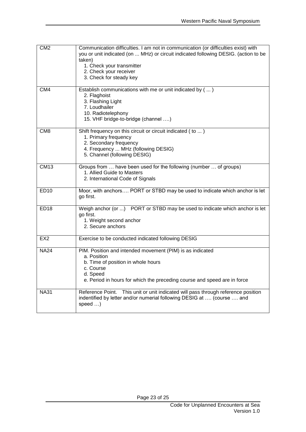| CM <sub>2</sub> | Communication difficulties. I am not in communication (or difficulties exist) with<br>you or unit indicated (on  MHz) or circuit indicated following DESIG. (action to be<br>taken)<br>1. Check your transmitter<br>2. Check your receiver<br>3. Check for steady key |
|-----------------|-----------------------------------------------------------------------------------------------------------------------------------------------------------------------------------------------------------------------------------------------------------------------|
| CM4             | Establish communications with me or unit indicated by ()<br>2. Flaghoist<br>3. Flashing Light<br>7. Loudhailer<br>10. Radiotelephony<br>15. VHF bridge-to-bridge (channel )                                                                                           |
| CM <sub>8</sub> | Shift frequency on this circuit or circuit indicated (to )<br>1. Primary frequency<br>2. Secondary frequency<br>4. Frequency  MHz (following DESIG)<br>5. Channel (following DESIG)                                                                                   |
| <b>CM13</b>     | Groups from  have been used for the following (number  of groups)<br>1. Allied Guide to Masters<br>2. International Code of Signals                                                                                                                                   |
| <b>ED10</b>     | Moor, with anchors PORT or STBD may be used to indicate which anchor is let<br>go first.                                                                                                                                                                              |
| <b>ED18</b>     | Weigh anchor (or ) PORT or STBD may be used to indicate which anchor is let<br>go first.<br>1. Weight second anchor<br>2. Secure anchors                                                                                                                              |
| EX <sub>2</sub> | Exercise to be conducted indicated following DESIG                                                                                                                                                                                                                    |
| <b>NA24</b>     | PIM. Position and intended movement (PIM) is as indicated<br>a. Position<br>b. Time of position in whole hours<br>c. Course<br>d. Speed<br>e. Period in hours for which the preceding course and speed are in force                                                   |
| <b>NA31</b>     | Reference Point. This unit or unit indicated will pass through reference position<br>indentified by letter and/or numerial following DESIG at  (course  and<br>speed )                                                                                                |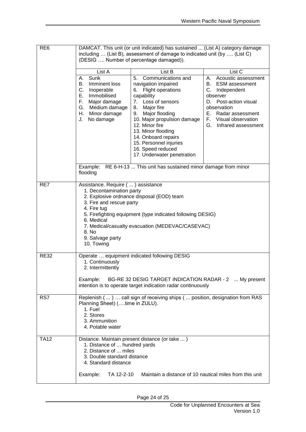| RE <sub>6</sub> | DAMCAT. This unit (or unit indicated) has sustained  (List A) category damage<br>including  (List B), assessment of damage to indicated unit (by  (List C)<br>(DESIG  Number of percentage damaged)). |                                                                                                                                                                                                                                                                                                                                 |                                                                                                                                                                                                                         |
|-----------------|-------------------------------------------------------------------------------------------------------------------------------------------------------------------------------------------------------|---------------------------------------------------------------------------------------------------------------------------------------------------------------------------------------------------------------------------------------------------------------------------------------------------------------------------------|-------------------------------------------------------------------------------------------------------------------------------------------------------------------------------------------------------------------------|
|                 | List A                                                                                                                                                                                                | List B                                                                                                                                                                                                                                                                                                                          | List C                                                                                                                                                                                                                  |
|                 | Sunk<br>А.<br>Imminent loss<br>В.<br>C.<br>Inoperable<br>Е.<br>Immobilised<br>F.<br>Major damage<br>G. Medium damage<br>Minor damage<br>Н.<br>J.<br>No damage                                         | Communications and<br>5.<br>navigation impaired<br>6. Flight operations<br>capability<br>7. Loss of sensors<br>8.<br>Major fire<br>9. Major flooding<br>10. Major propulsion damage<br>12. Minor fire<br>13. Minor flooding<br>14. Onboard repairs<br>15. Personnel injuries<br>16. Speed reduced<br>17. Underwater penetration | Acoustic assessment<br>А.<br><b>ESM</b> assessment<br>В.<br>C.<br>Independent<br>observer<br>Post-action visual<br>D.<br>observation<br>Е.<br>Radar assessment<br>Visual observation<br>F.<br>G.<br>Infrared assessment |
|                 | Example:<br>flooding                                                                                                                                                                                  | RE 6-H-13  This unit has sustained minor damage from minor                                                                                                                                                                                                                                                                      |                                                                                                                                                                                                                         |
| RE7             | Assistance. Require (  ) assistance<br>1. Decontamination party<br>3. Fire and rescue party<br>4. Fire tug<br>6. Medical<br>8. No<br>9. Salvage party<br>10. Towing                                   | 2. Explosive ordnance disposal (EOD) team<br>5. Firefighting equipment (type indicated following DESIG)<br>7. Medical/casualty evacuation (MEDEVAC/CASEVAC)                                                                                                                                                                     |                                                                                                                                                                                                                         |
| <b>RE32</b>     | 1. Continuously<br>2. Intermittently<br>Example:                                                                                                                                                      | Operate  equipment indicated following DESIG<br>BG-RE 32 DESIG TARGET INDICATION RADAR - 2  My present<br>intention is to operate target indication radar continuously                                                                                                                                                          |                                                                                                                                                                                                                         |
| RS7             | Planning Sheet) (time in ZULU).<br>1. Fuel<br>2. Stores<br>3. Ammunition<br>4. Potable water                                                                                                          | Replenish ()  call sign of receiving ships ( position, designation from RAS                                                                                                                                                                                                                                                     |                                                                                                                                                                                                                         |
| <b>TA12</b>     | 1. Distance of  hundred yards<br>2. Distance of  miles<br>3. Double standard distance<br>4. Standard distance<br>Example:<br>TA 12-2-10                                                               | Distance. Maintain present distance (or take )<br>Maintain a distance of 10 nautical miles from this unit                                                                                                                                                                                                                       |                                                                                                                                                                                                                         |